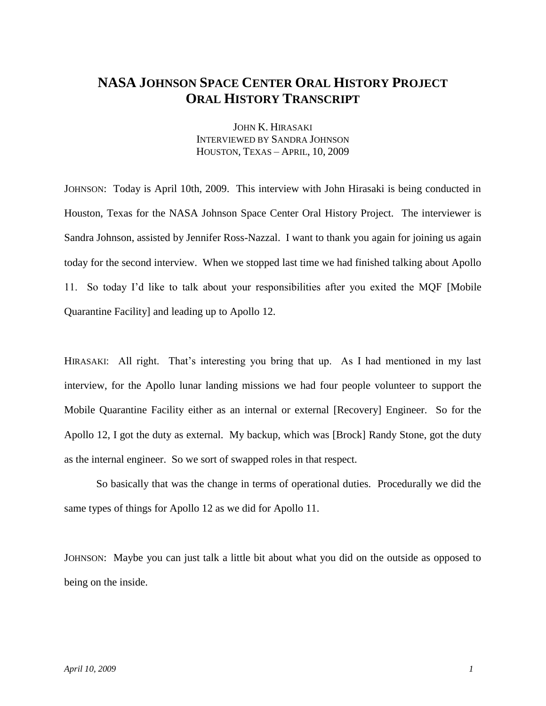## **NASA JOHNSON SPACE CENTER ORAL HISTORY PROJECT ORAL HISTORY TRANSCRIPT**

JOHN K. HIRASAKI INTERVIEWED BY SANDRA JOHNSON HOUSTON, TEXAS – APRIL, 10, 2009

JOHNSON: Today is April 10th, 2009. This interview with John Hirasaki is being conducted in Houston, Texas for the NASA Johnson Space Center Oral History Project. The interviewer is Sandra Johnson, assisted by Jennifer Ross-Nazzal. I want to thank you again for joining us again today for the second interview. When we stopped last time we had finished talking about Apollo 11. So today I'd like to talk about your responsibilities after you exited the MQF [Mobile Quarantine Facility] and leading up to Apollo 12.

HIRASAKI: All right. That's interesting you bring that up. As I had mentioned in my last interview, for the Apollo lunar landing missions we had four people volunteer to support the Mobile Quarantine Facility either as an internal or external [Recovery] Engineer. So for the Apollo 12, I got the duty as external. My backup, which was [Brock] Randy Stone, got the duty as the internal engineer. So we sort of swapped roles in that respect.

So basically that was the change in terms of operational duties. Procedurally we did the same types of things for Apollo 12 as we did for Apollo 11.

JOHNSON: Maybe you can just talk a little bit about what you did on the outside as opposed to being on the inside.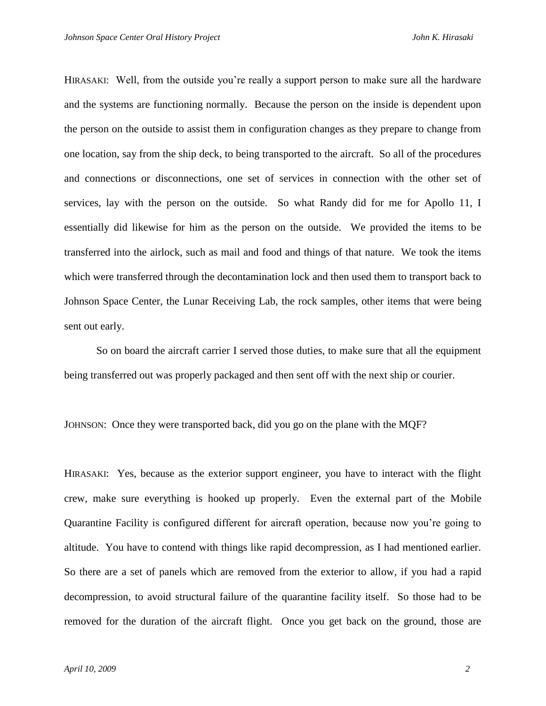HIRASAKI: Well, from the outside you're really a support person to make sure all the hardware and the systems are functioning normally. Because the person on the inside is dependent upon the person on the outside to assist them in configuration changes as they prepare to change from one location, say from the ship deck, to being transported to the aircraft. So all of the procedures and connections or disconnections, one set of services in connection with the other set of services, lay with the person on the outside. So what Randy did for me for Apollo 11, I essentially did likewise for him as the person on the outside. We provided the items to be transferred into the airlock, such as mail and food and things of that nature. We took the items which were transferred through the decontamination lock and then used them to transport back to Johnson Space Center, the Lunar Receiving Lab, the rock samples, other items that were being sent out early.

So on board the aircraft carrier I served those duties, to make sure that all the equipment being transferred out was properly packaged and then sent off with the next ship or courier.

JOHNSON: Once they were transported back, did you go on the plane with the MQF?

HIRASAKI: Yes, because as the exterior support engineer, you have to interact with the flight crew, make sure everything is hooked up properly. Even the external part of the Mobile Quarantine Facility is configured different for aircraft operation, because now you're going to altitude. You have to contend with things like rapid decompression, as I had mentioned earlier. So there are a set of panels which are removed from the exterior to allow, if you had a rapid decompression, to avoid structural failure of the quarantine facility itself. So those had to be removed for the duration of the aircraft flight. Once you get back on the ground, those are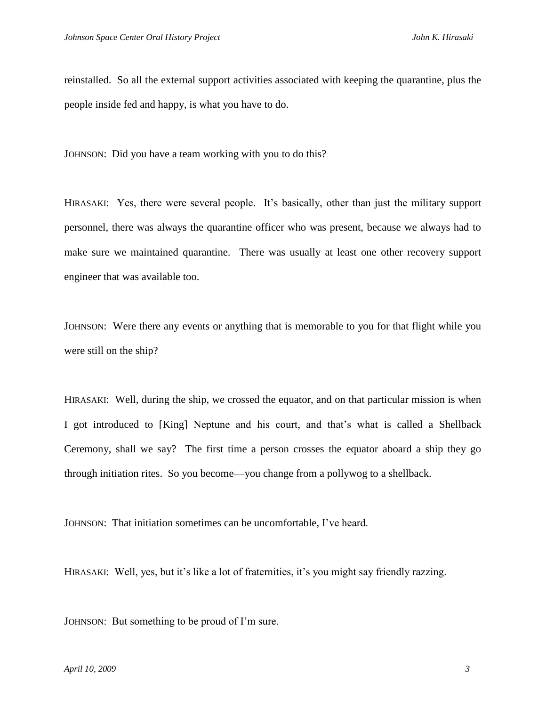reinstalled. So all the external support activities associated with keeping the quarantine, plus the people inside fed and happy, is what you have to do.

JOHNSON: Did you have a team working with you to do this?

HIRASAKI: Yes, there were several people. It's basically, other than just the military support personnel, there was always the quarantine officer who was present, because we always had to make sure we maintained quarantine. There was usually at least one other recovery support engineer that was available too.

JOHNSON: Were there any events or anything that is memorable to you for that flight while you were still on the ship?

HIRASAKI: Well, during the ship, we crossed the equator, and on that particular mission is when I got introduced to [King] Neptune and his court, and that's what is called a Shellback Ceremony, shall we say? The first time a person crosses the equator aboard a ship they go through initiation rites. So you become—you change from a pollywog to a shellback.

JOHNSON: That initiation sometimes can be uncomfortable, I've heard.

HIRASAKI: Well, yes, but it's like a lot of fraternities, it's you might say friendly razzing.

JOHNSON: But something to be proud of I'm sure.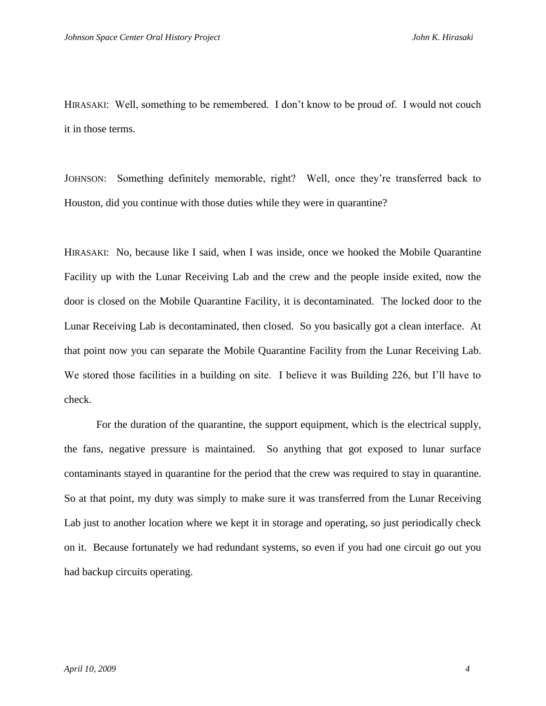HIRASAKI: Well, something to be remembered. I don't know to be proud of. I would not couch it in those terms.

JOHNSON: Something definitely memorable, right? Well, once they're transferred back to Houston, did you continue with those duties while they were in quarantine?

HIRASAKI: No, because like I said, when I was inside, once we hooked the Mobile Quarantine Facility up with the Lunar Receiving Lab and the crew and the people inside exited, now the door is closed on the Mobile Quarantine Facility, it is decontaminated. The locked door to the Lunar Receiving Lab is decontaminated, then closed. So you basically got a clean interface. At that point now you can separate the Mobile Quarantine Facility from the Lunar Receiving Lab. We stored those facilities in a building on site. I believe it was Building 226, but I'll have to check.

For the duration of the quarantine, the support equipment, which is the electrical supply, the fans, negative pressure is maintained. So anything that got exposed to lunar surface contaminants stayed in quarantine for the period that the crew was required to stay in quarantine. So at that point, my duty was simply to make sure it was transferred from the Lunar Receiving Lab just to another location where we kept it in storage and operating, so just periodically check on it. Because fortunately we had redundant systems, so even if you had one circuit go out you had backup circuits operating.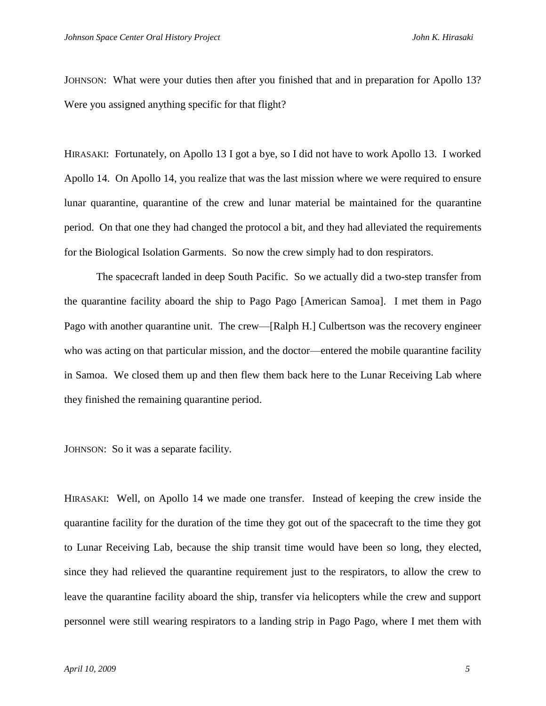JOHNSON: What were your duties then after you finished that and in preparation for Apollo 13? Were you assigned anything specific for that flight?

HIRASAKI: Fortunately, on Apollo 13 I got a bye, so I did not have to work Apollo 13. I worked Apollo 14. On Apollo 14, you realize that was the last mission where we were required to ensure lunar quarantine, quarantine of the crew and lunar material be maintained for the quarantine period. On that one they had changed the protocol a bit, and they had alleviated the requirements for the Biological Isolation Garments. So now the crew simply had to don respirators.

The spacecraft landed in deep South Pacific. So we actually did a two-step transfer from the quarantine facility aboard the ship to Pago Pago [American Samoa]. I met them in Pago Pago with another quarantine unit. The crew—[Ralph H.] Culbertson was the recovery engineer who was acting on that particular mission, and the doctor—entered the mobile quarantine facility in Samoa. We closed them up and then flew them back here to the Lunar Receiving Lab where they finished the remaining quarantine period.

JOHNSON: So it was a separate facility.

HIRASAKI: Well, on Apollo 14 we made one transfer. Instead of keeping the crew inside the quarantine facility for the duration of the time they got out of the spacecraft to the time they got to Lunar Receiving Lab, because the ship transit time would have been so long, they elected, since they had relieved the quarantine requirement just to the respirators, to allow the crew to leave the quarantine facility aboard the ship, transfer via helicopters while the crew and support personnel were still wearing respirators to a landing strip in Pago Pago, where I met them with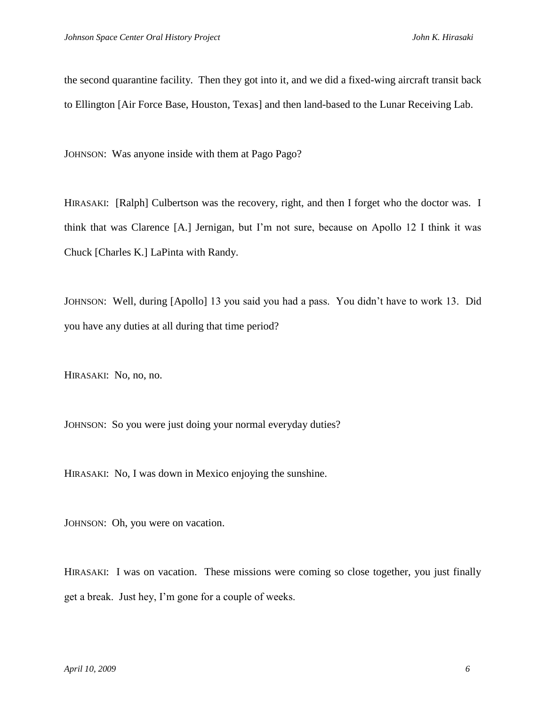the second quarantine facility. Then they got into it, and we did a fixed-wing aircraft transit back to Ellington [Air Force Base, Houston, Texas] and then land-based to the Lunar Receiving Lab.

JOHNSON: Was anyone inside with them at Pago Pago?

HIRASAKI: [Ralph] Culbertson was the recovery, right, and then I forget who the doctor was. I think that was Clarence [A.] Jernigan, but I'm not sure, because on Apollo 12 I think it was Chuck [Charles K.] LaPinta with Randy.

JOHNSON: Well, during [Apollo] 13 you said you had a pass. You didn't have to work 13. Did you have any duties at all during that time period?

HIRASAKI: No, no, no.

JOHNSON: So you were just doing your normal everyday duties?

HIRASAKI: No, I was down in Mexico enjoying the sunshine.

JOHNSON: Oh, you were on vacation.

HIRASAKI: I was on vacation. These missions were coming so close together, you just finally get a break. Just hey, I'm gone for a couple of weeks.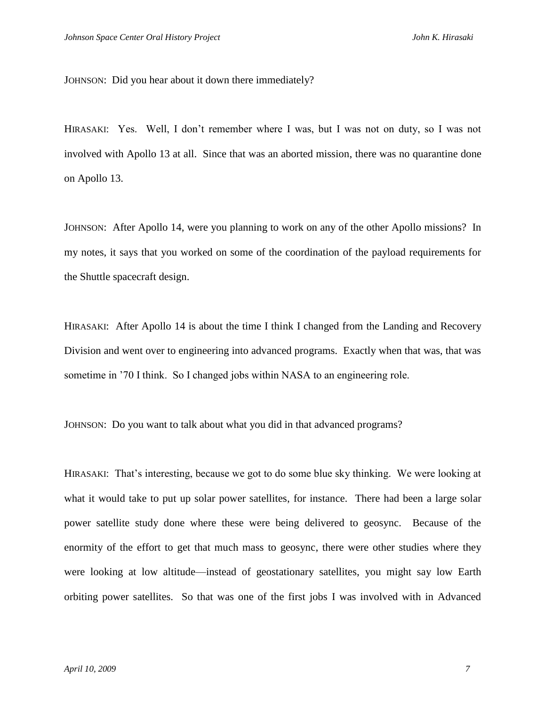JOHNSON: Did you hear about it down there immediately?

HIRASAKI: Yes. Well, I don't remember where I was, but I was not on duty, so I was not involved with Apollo 13 at all. Since that was an aborted mission, there was no quarantine done on Apollo 13.

JOHNSON: After Apollo 14, were you planning to work on any of the other Apollo missions? In my notes, it says that you worked on some of the coordination of the payload requirements for the Shuttle spacecraft design.

HIRASAKI: After Apollo 14 is about the time I think I changed from the Landing and Recovery Division and went over to engineering into advanced programs. Exactly when that was, that was sometime in '70 I think. So I changed jobs within NASA to an engineering role.

JOHNSON: Do you want to talk about what you did in that advanced programs?

HIRASAKI: That's interesting, because we got to do some blue sky thinking. We were looking at what it would take to put up solar power satellites, for instance. There had been a large solar power satellite study done where these were being delivered to geosync. Because of the enormity of the effort to get that much mass to geosync, there were other studies where they were looking at low altitude—instead of geostationary satellites, you might say low Earth orbiting power satellites. So that was one of the first jobs I was involved with in Advanced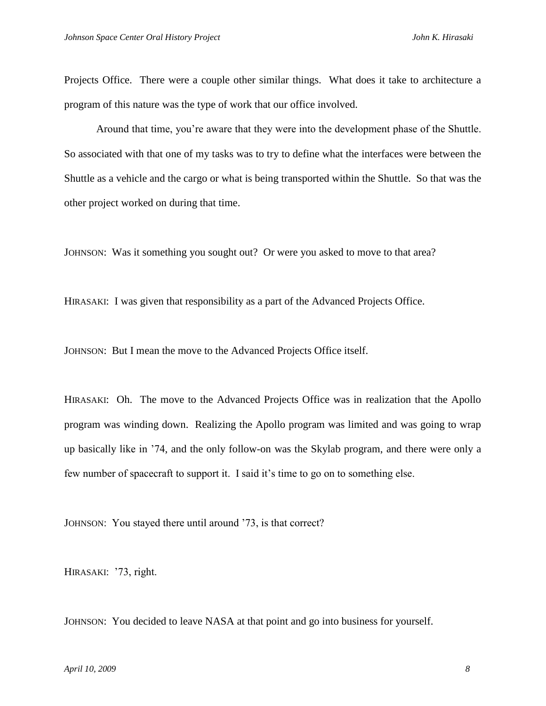Projects Office. There were a couple other similar things. What does it take to architecture a program of this nature was the type of work that our office involved.

Around that time, you're aware that they were into the development phase of the Shuttle. So associated with that one of my tasks was to try to define what the interfaces were between the Shuttle as a vehicle and the cargo or what is being transported within the Shuttle. So that was the other project worked on during that time.

JOHNSON: Was it something you sought out? Or were you asked to move to that area?

HIRASAKI: I was given that responsibility as a part of the Advanced Projects Office.

JOHNSON: But I mean the move to the Advanced Projects Office itself.

HIRASAKI: Oh. The move to the Advanced Projects Office was in realization that the Apollo program was winding down. Realizing the Apollo program was limited and was going to wrap up basically like in '74, and the only follow-on was the Skylab program, and there were only a few number of spacecraft to support it. I said it's time to go on to something else.

JOHNSON: You stayed there until around '73, is that correct?

HIRASAKI: '73, right.

JOHNSON: You decided to leave NASA at that point and go into business for yourself.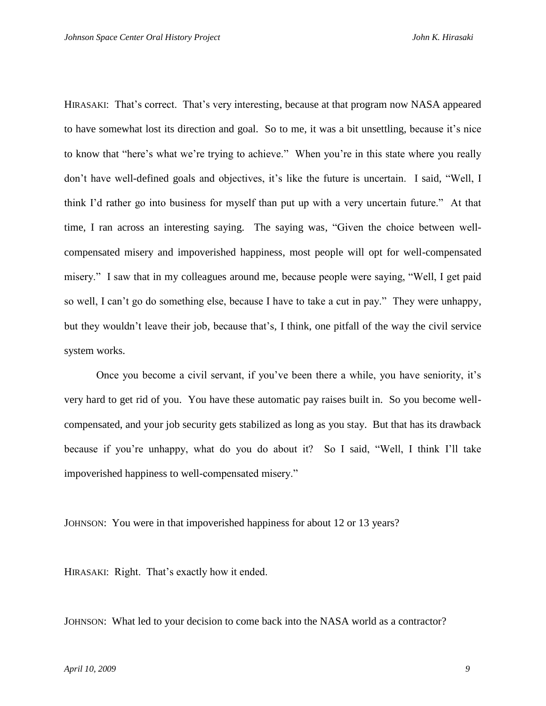HIRASAKI: That's correct. That's very interesting, because at that program now NASA appeared to have somewhat lost its direction and goal. So to me, it was a bit unsettling, because it's nice to know that "here's what we're trying to achieve." When you're in this state where you really don't have well-defined goals and objectives, it's like the future is uncertain. I said, "Well, I think I'd rather go into business for myself than put up with a very uncertain future." At that time, I ran across an interesting saying. The saying was, "Given the choice between wellcompensated misery and impoverished happiness, most people will opt for well-compensated misery." I saw that in my colleagues around me, because people were saying, "Well, I get paid so well, I can't go do something else, because I have to take a cut in pay." They were unhappy, but they wouldn't leave their job, because that's, I think, one pitfall of the way the civil service system works.

Once you become a civil servant, if you've been there a while, you have seniority, it's very hard to get rid of you. You have these automatic pay raises built in. So you become wellcompensated, and your job security gets stabilized as long as you stay. But that has its drawback because if you're unhappy, what do you do about it? So I said, "Well, I think I'll take impoverished happiness to well-compensated misery."

JOHNSON: You were in that impoverished happiness for about 12 or 13 years?

HIRASAKI: Right. That's exactly how it ended.

JOHNSON: What led to your decision to come back into the NASA world as a contractor?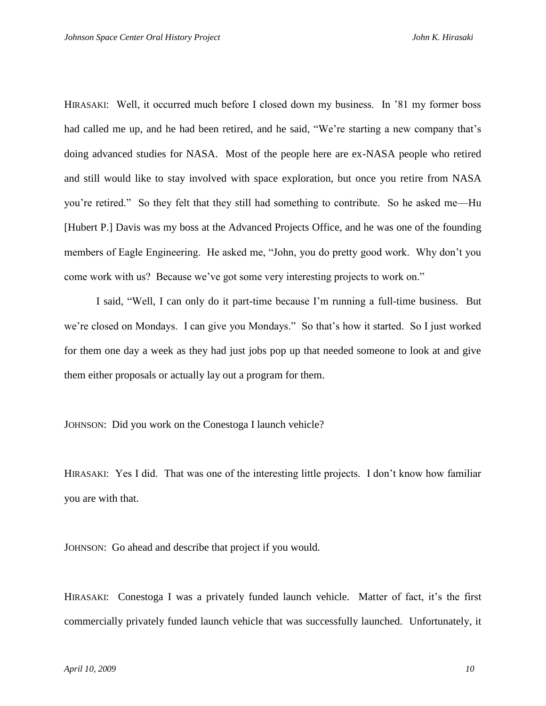HIRASAKI: Well, it occurred much before I closed down my business. In '81 my former boss had called me up, and he had been retired, and he said, "We're starting a new company that's doing advanced studies for NASA. Most of the people here are ex-NASA people who retired and still would like to stay involved with space exploration, but once you retire from NASA you're retired." So they felt that they still had something to contribute. So he asked me—Hu [Hubert P.] Davis was my boss at the Advanced Projects Office, and he was one of the founding members of Eagle Engineering. He asked me, "John, you do pretty good work. Why don't you come work with us? Because we've got some very interesting projects to work on."

I said, "Well, I can only do it part-time because I'm running a full-time business. But we're closed on Mondays. I can give you Mondays." So that's how it started. So I just worked for them one day a week as they had just jobs pop up that needed someone to look at and give them either proposals or actually lay out a program for them.

JOHNSON: Did you work on the Conestoga I launch vehicle?

HIRASAKI: Yes I did. That was one of the interesting little projects. I don't know how familiar you are with that.

JOHNSON: Go ahead and describe that project if you would.

HIRASAKI: Conestoga I was a privately funded launch vehicle. Matter of fact, it's the first commercially privately funded launch vehicle that was successfully launched. Unfortunately, it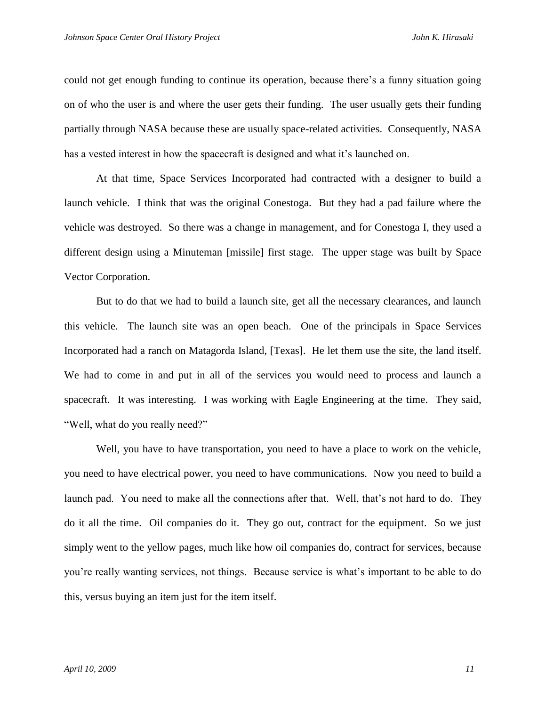could not get enough funding to continue its operation, because there's a funny situation going on of who the user is and where the user gets their funding. The user usually gets their funding partially through NASA because these are usually space-related activities. Consequently, NASA has a vested interest in how the spacecraft is designed and what it's launched on.

At that time, Space Services Incorporated had contracted with a designer to build a launch vehicle. I think that was the original Conestoga. But they had a pad failure where the vehicle was destroyed. So there was a change in management, and for Conestoga I, they used a different design using a Minuteman [missile] first stage. The upper stage was built by Space Vector Corporation.

But to do that we had to build a launch site, get all the necessary clearances, and launch this vehicle. The launch site was an open beach. One of the principals in Space Services Incorporated had a ranch on Matagorda Island, [Texas]. He let them use the site, the land itself. We had to come in and put in all of the services you would need to process and launch a spacecraft. It was interesting. I was working with Eagle Engineering at the time. They said, "Well, what do you really need?"

Well, you have to have transportation, you need to have a place to work on the vehicle, you need to have electrical power, you need to have communications. Now you need to build a launch pad. You need to make all the connections after that. Well, that's not hard to do. They do it all the time. Oil companies do it. They go out, contract for the equipment. So we just simply went to the yellow pages, much like how oil companies do, contract for services, because you're really wanting services, not things. Because service is what's important to be able to do this, versus buying an item just for the item itself.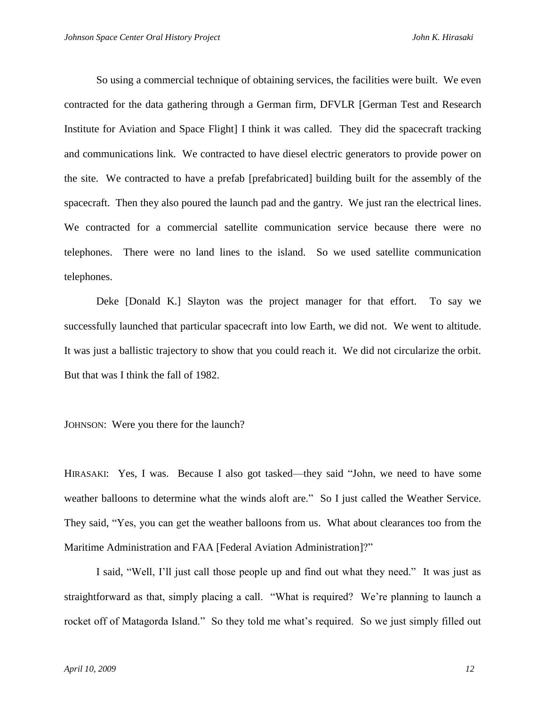So using a commercial technique of obtaining services, the facilities were built. We even contracted for the data gathering through a German firm, DFVLR [German Test and Research Institute for Aviation and Space Flight] I think it was called. They did the spacecraft tracking and communications link. We contracted to have diesel electric generators to provide power on the site. We contracted to have a prefab [prefabricated] building built for the assembly of the spacecraft. Then they also poured the launch pad and the gantry. We just ran the electrical lines. We contracted for a commercial satellite communication service because there were no telephones. There were no land lines to the island. So we used satellite communication telephones.

Deke [Donald K.] Slayton was the project manager for that effort. To say we successfully launched that particular spacecraft into low Earth, we did not. We went to altitude. It was just a ballistic trajectory to show that you could reach it. We did not circularize the orbit. But that was I think the fall of 1982.

JOHNSON: Were you there for the launch?

HIRASAKI: Yes, I was. Because I also got tasked—they said "John, we need to have some weather balloons to determine what the winds aloft are." So I just called the Weather Service. They said, "Yes, you can get the weather balloons from us. What about clearances too from the Maritime Administration and FAA [Federal Aviation Administration]?"

I said, "Well, I'll just call those people up and find out what they need." It was just as straightforward as that, simply placing a call. "What is required? We're planning to launch a rocket off of Matagorda Island." So they told me what's required. So we just simply filled out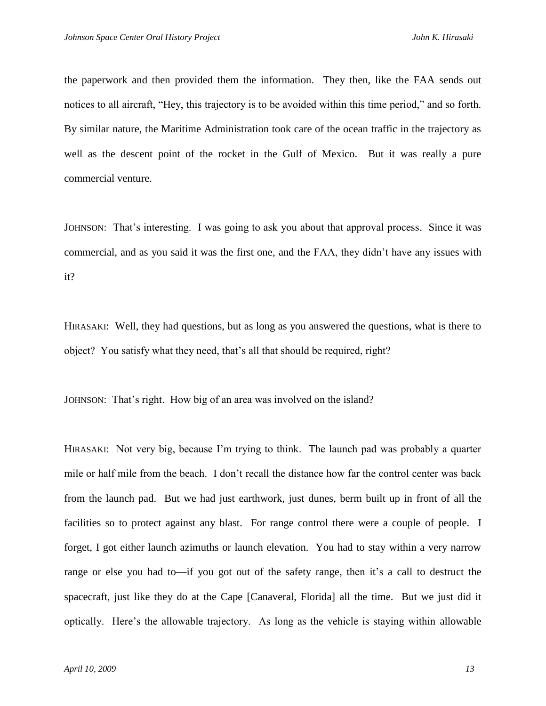the paperwork and then provided them the information. They then, like the FAA sends out notices to all aircraft, "Hey, this trajectory is to be avoided within this time period," and so forth. By similar nature, the Maritime Administration took care of the ocean traffic in the trajectory as well as the descent point of the rocket in the Gulf of Mexico. But it was really a pure commercial venture.

JOHNSON: That's interesting. I was going to ask you about that approval process. Since it was commercial, and as you said it was the first one, and the FAA, they didn't have any issues with it?

HIRASAKI: Well, they had questions, but as long as you answered the questions, what is there to object? You satisfy what they need, that's all that should be required, right?

JOHNSON: That's right. How big of an area was involved on the island?

HIRASAKI: Not very big, because I'm trying to think. The launch pad was probably a quarter mile or half mile from the beach. I don't recall the distance how far the control center was back from the launch pad. But we had just earthwork, just dunes, berm built up in front of all the facilities so to protect against any blast. For range control there were a couple of people. I forget, I got either launch azimuths or launch elevation. You had to stay within a very narrow range or else you had to—if you got out of the safety range, then it's a call to destruct the spacecraft, just like they do at the Cape [Canaveral, Florida] all the time. But we just did it optically. Here's the allowable trajectory. As long as the vehicle is staying within allowable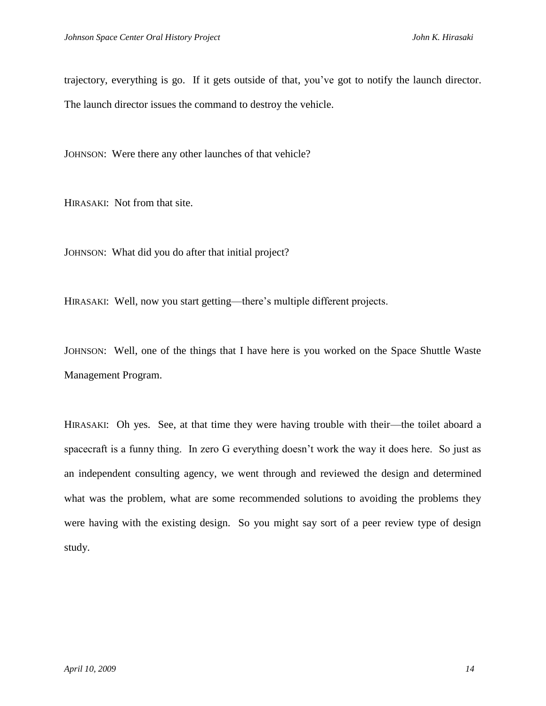trajectory, everything is go. If it gets outside of that, you've got to notify the launch director. The launch director issues the command to destroy the vehicle.

JOHNSON: Were there any other launches of that vehicle?

HIRASAKI: Not from that site.

JOHNSON: What did you do after that initial project?

HIRASAKI: Well, now you start getting—there's multiple different projects.

JOHNSON: Well, one of the things that I have here is you worked on the Space Shuttle Waste Management Program.

HIRASAKI: Oh yes. See, at that time they were having trouble with their—the toilet aboard a spacecraft is a funny thing. In zero G everything doesn't work the way it does here. So just as an independent consulting agency, we went through and reviewed the design and determined what was the problem, what are some recommended solutions to avoiding the problems they were having with the existing design. So you might say sort of a peer review type of design study.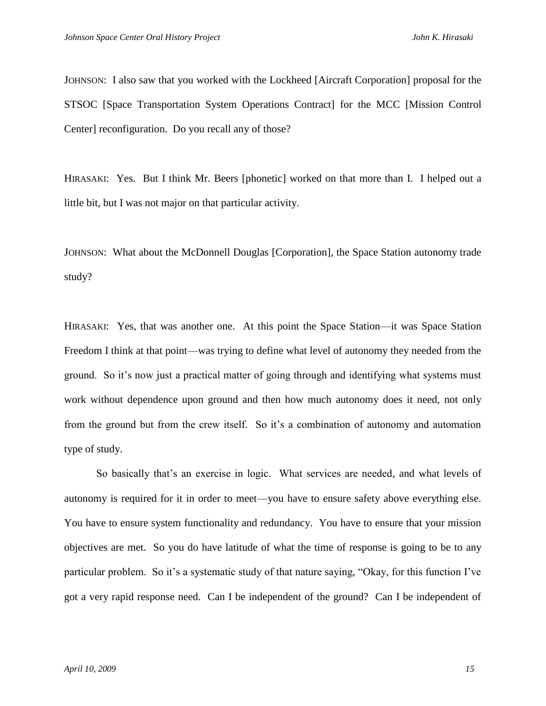JOHNSON: I also saw that you worked with the Lockheed [Aircraft Corporation] proposal for the STSOC [Space Transportation System Operations Contract] for the MCC [Mission Control Center] reconfiguration. Do you recall any of those?

HIRASAKI: Yes. But I think Mr. Beers [phonetic] worked on that more than I. I helped out a little bit, but I was not major on that particular activity.

JOHNSON: What about the McDonnell Douglas [Corporation], the Space Station autonomy trade study?

HIRASAKI: Yes, that was another one. At this point the Space Station—it was Space Station Freedom I think at that point—was trying to define what level of autonomy they needed from the ground. So it's now just a practical matter of going through and identifying what systems must work without dependence upon ground and then how much autonomy does it need, not only from the ground but from the crew itself. So it's a combination of autonomy and automation type of study.

So basically that's an exercise in logic. What services are needed, and what levels of autonomy is required for it in order to meet—you have to ensure safety above everything else. You have to ensure system functionality and redundancy. You have to ensure that your mission objectives are met. So you do have latitude of what the time of response is going to be to any particular problem. So it's a systematic study of that nature saying, "Okay, for this function I've got a very rapid response need. Can I be independent of the ground? Can I be independent of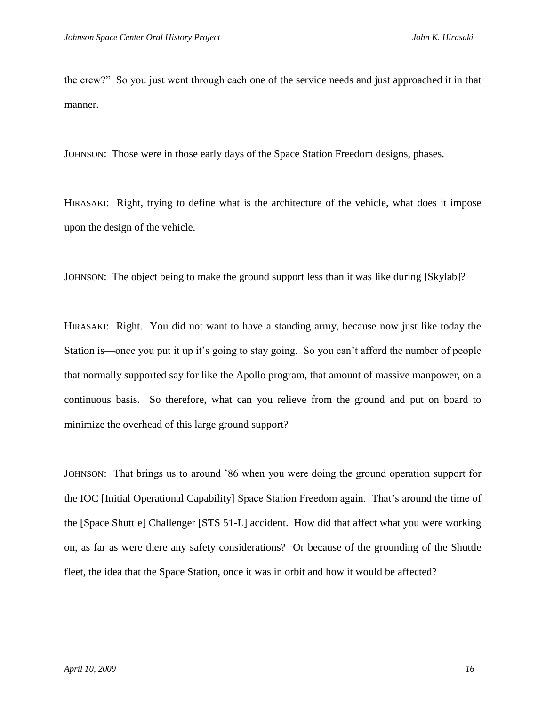the crew?‖ So you just went through each one of the service needs and just approached it in that manner.

JOHNSON: Those were in those early days of the Space Station Freedom designs, phases.

HIRASAKI: Right, trying to define what is the architecture of the vehicle, what does it impose upon the design of the vehicle.

JOHNSON: The object being to make the ground support less than it was like during [Skylab]?

HIRASAKI: Right. You did not want to have a standing army, because now just like today the Station is—once you put it up it's going to stay going. So you can't afford the number of people that normally supported say for like the Apollo program, that amount of massive manpower, on a continuous basis. So therefore, what can you relieve from the ground and put on board to minimize the overhead of this large ground support?

JOHNSON: That brings us to around '86 when you were doing the ground operation support for the IOC [Initial Operational Capability] Space Station Freedom again. That's around the time of the [Space Shuttle] Challenger [STS 51-L] accident. How did that affect what you were working on, as far as were there any safety considerations? Or because of the grounding of the Shuttle fleet, the idea that the Space Station, once it was in orbit and how it would be affected?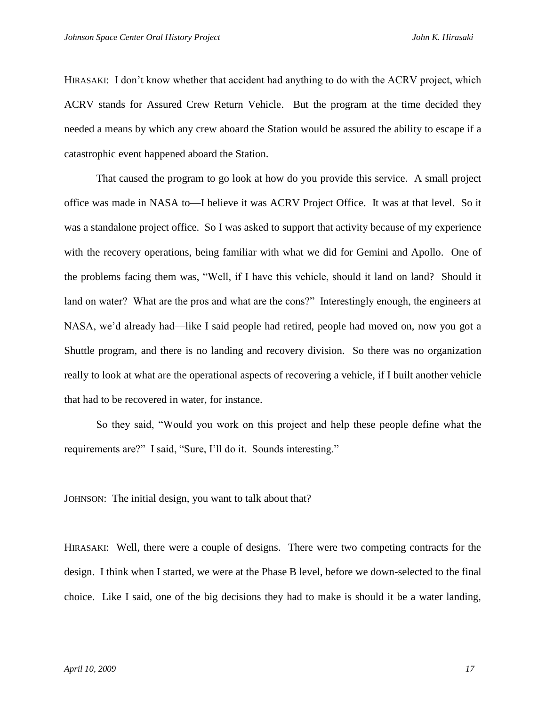HIRASAKI: I don't know whether that accident had anything to do with the ACRV project, which ACRV stands for Assured Crew Return Vehicle. But the program at the time decided they needed a means by which any crew aboard the Station would be assured the ability to escape if a catastrophic event happened aboard the Station.

That caused the program to go look at how do you provide this service. A small project office was made in NASA to—I believe it was ACRV Project Office. It was at that level. So it was a standalone project office. So I was asked to support that activity because of my experience with the recovery operations, being familiar with what we did for Gemini and Apollo. One of the problems facing them was, "Well, if I have this vehicle, should it land on land? Should it land on water? What are the pros and what are the cons?" Interestingly enough, the engineers at NASA, we'd already had—like I said people had retired, people had moved on, now you got a Shuttle program, and there is no landing and recovery division. So there was no organization really to look at what are the operational aspects of recovering a vehicle, if I built another vehicle that had to be recovered in water, for instance.

So they said, "Would you work on this project and help these people define what the requirements are?" I said, "Sure, I'll do it. Sounds interesting."

JOHNSON: The initial design, you want to talk about that?

HIRASAKI: Well, there were a couple of designs. There were two competing contracts for the design. I think when I started, we were at the Phase B level, before we down-selected to the final choice. Like I said, one of the big decisions they had to make is should it be a water landing,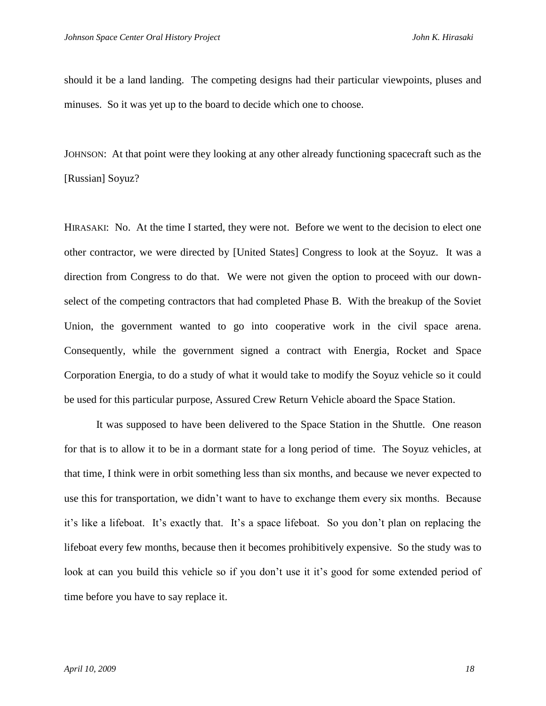should it be a land landing. The competing designs had their particular viewpoints, pluses and minuses. So it was yet up to the board to decide which one to choose.

JOHNSON: At that point were they looking at any other already functioning spacecraft such as the [Russian] Soyuz?

HIRASAKI: No. At the time I started, they were not. Before we went to the decision to elect one other contractor, we were directed by [United States] Congress to look at the Soyuz. It was a direction from Congress to do that. We were not given the option to proceed with our downselect of the competing contractors that had completed Phase B. With the breakup of the Soviet Union, the government wanted to go into cooperative work in the civil space arena. Consequently, while the government signed a contract with Energia, Rocket and Space Corporation Energia, to do a study of what it would take to modify the Soyuz vehicle so it could be used for this particular purpose, Assured Crew Return Vehicle aboard the Space Station.

It was supposed to have been delivered to the Space Station in the Shuttle. One reason for that is to allow it to be in a dormant state for a long period of time. The Soyuz vehicles, at that time, I think were in orbit something less than six months, and because we never expected to use this for transportation, we didn't want to have to exchange them every six months. Because it's like a lifeboat. It's exactly that. It's a space lifeboat. So you don't plan on replacing the lifeboat every few months, because then it becomes prohibitively expensive. So the study was to look at can you build this vehicle so if you don't use it it's good for some extended period of time before you have to say replace it.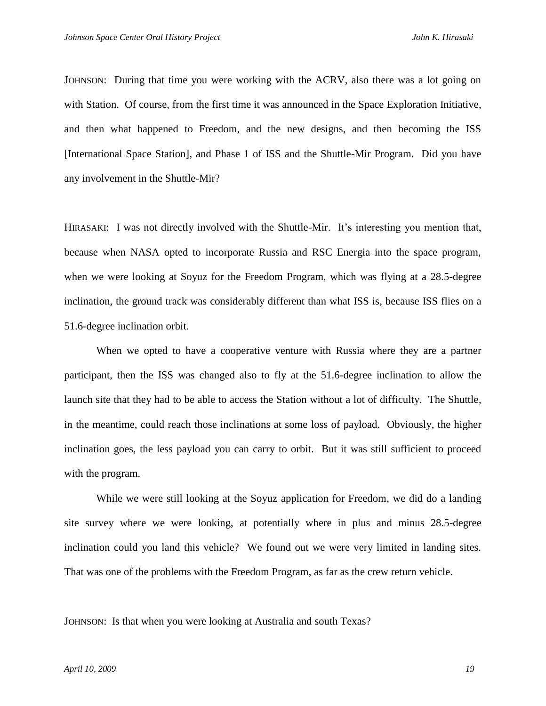JOHNSON: During that time you were working with the ACRV, also there was a lot going on with Station. Of course, from the first time it was announced in the Space Exploration Initiative, and then what happened to Freedom, and the new designs, and then becoming the ISS [International Space Station], and Phase 1 of ISS and the Shuttle-Mir Program. Did you have any involvement in the Shuttle-Mir?

HIRASAKI: I was not directly involved with the Shuttle-Mir. It's interesting you mention that, because when NASA opted to incorporate Russia and RSC Energia into the space program, when we were looking at Soyuz for the Freedom Program, which was flying at a 28.5-degree inclination, the ground track was considerably different than what ISS is, because ISS flies on a 51.6-degree inclination orbit.

When we opted to have a cooperative venture with Russia where they are a partner participant, then the ISS was changed also to fly at the 51.6-degree inclination to allow the launch site that they had to be able to access the Station without a lot of difficulty. The Shuttle, in the meantime, could reach those inclinations at some loss of payload. Obviously, the higher inclination goes, the less payload you can carry to orbit. But it was still sufficient to proceed with the program.

While we were still looking at the Soyuz application for Freedom, we did do a landing site survey where we were looking, at potentially where in plus and minus 28.5-degree inclination could you land this vehicle? We found out we were very limited in landing sites. That was one of the problems with the Freedom Program, as far as the crew return vehicle.

JOHNSON: Is that when you were looking at Australia and south Texas?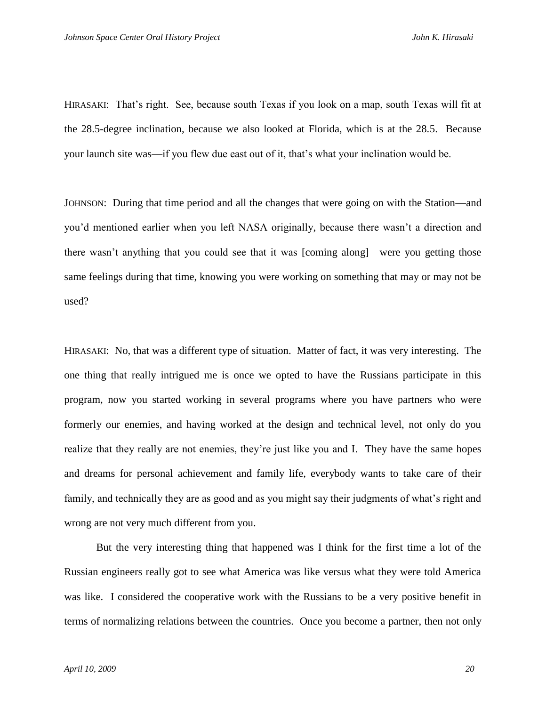HIRASAKI: That's right. See, because south Texas if you look on a map, south Texas will fit at the 28.5-degree inclination, because we also looked at Florida, which is at the 28.5. Because your launch site was—if you flew due east out of it, that's what your inclination would be.

JOHNSON: During that time period and all the changes that were going on with the Station—and you'd mentioned earlier when you left NASA originally, because there wasn't a direction and there wasn't anything that you could see that it was [coming along]—were you getting those same feelings during that time, knowing you were working on something that may or may not be used?

HIRASAKI: No, that was a different type of situation. Matter of fact, it was very interesting. The one thing that really intrigued me is once we opted to have the Russians participate in this program, now you started working in several programs where you have partners who were formerly our enemies, and having worked at the design and technical level, not only do you realize that they really are not enemies, they're just like you and I. They have the same hopes and dreams for personal achievement and family life, everybody wants to take care of their family, and technically they are as good and as you might say their judgments of what's right and wrong are not very much different from you.

But the very interesting thing that happened was I think for the first time a lot of the Russian engineers really got to see what America was like versus what they were told America was like. I considered the cooperative work with the Russians to be a very positive benefit in terms of normalizing relations between the countries. Once you become a partner, then not only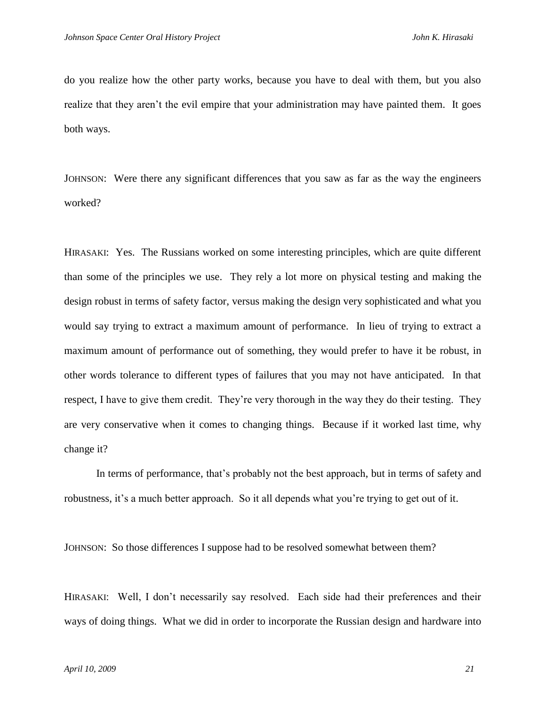do you realize how the other party works, because you have to deal with them, but you also realize that they aren't the evil empire that your administration may have painted them. It goes both ways.

JOHNSON: Were there any significant differences that you saw as far as the way the engineers worked?

HIRASAKI: Yes. The Russians worked on some interesting principles, which are quite different than some of the principles we use. They rely a lot more on physical testing and making the design robust in terms of safety factor, versus making the design very sophisticated and what you would say trying to extract a maximum amount of performance. In lieu of trying to extract a maximum amount of performance out of something, they would prefer to have it be robust, in other words tolerance to different types of failures that you may not have anticipated. In that respect, I have to give them credit. They're very thorough in the way they do their testing. They are very conservative when it comes to changing things. Because if it worked last time, why change it?

In terms of performance, that's probably not the best approach, but in terms of safety and robustness, it's a much better approach. So it all depends what you're trying to get out of it.

JOHNSON: So those differences I suppose had to be resolved somewhat between them?

HIRASAKI: Well, I don't necessarily say resolved. Each side had their preferences and their ways of doing things. What we did in order to incorporate the Russian design and hardware into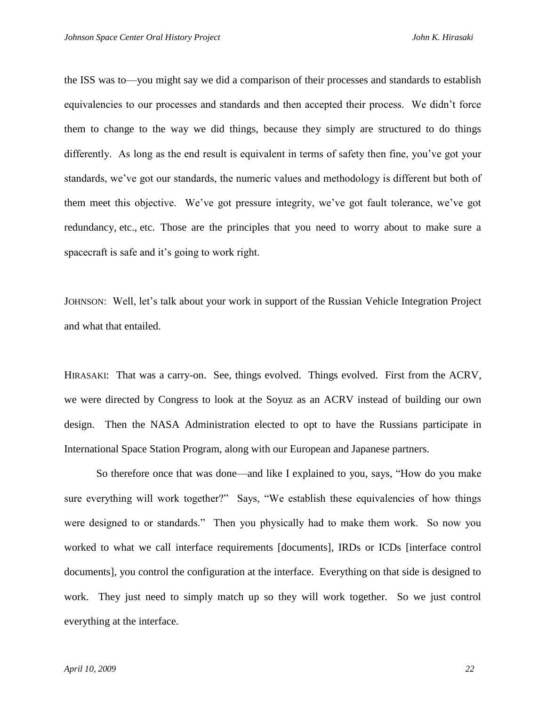the ISS was to—you might say we did a comparison of their processes and standards to establish equivalencies to our processes and standards and then accepted their process. We didn't force them to change to the way we did things, because they simply are structured to do things differently. As long as the end result is equivalent in terms of safety then fine, you've got your standards, we've got our standards, the numeric values and methodology is different but both of them meet this objective. We've got pressure integrity, we've got fault tolerance, we've got redundancy, etc., etc. Those are the principles that you need to worry about to make sure a spacecraft is safe and it's going to work right.

JOHNSON: Well, let's talk about your work in support of the Russian Vehicle Integration Project and what that entailed.

HIRASAKI: That was a carry-on. See, things evolved. Things evolved. First from the ACRV, we were directed by Congress to look at the Soyuz as an ACRV instead of building our own design. Then the NASA Administration elected to opt to have the Russians participate in International Space Station Program, along with our European and Japanese partners.

So therefore once that was done—and like I explained to you, says, "How do you make sure everything will work together?" Says, "We establish these equivalencies of how things were designed to or standards." Then you physically had to make them work. So now you worked to what we call interface requirements [documents], IRDs or ICDs [interface control documents], you control the configuration at the interface. Everything on that side is designed to work. They just need to simply match up so they will work together. So we just control everything at the interface.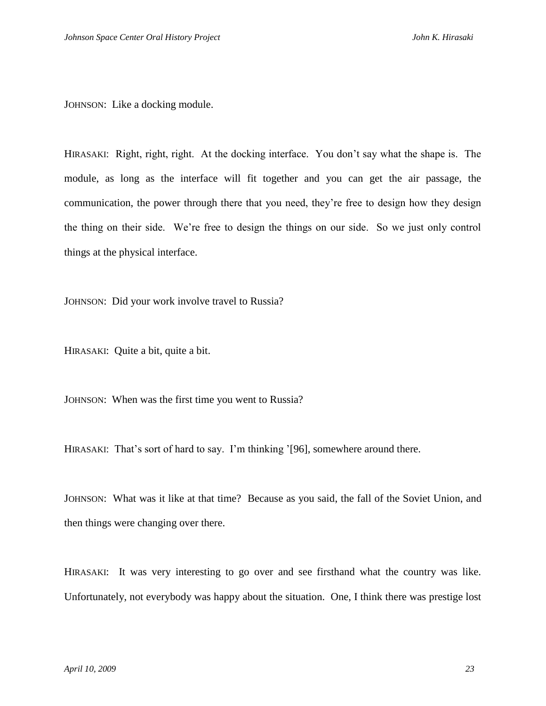JOHNSON: Like a docking module.

HIRASAKI: Right, right, right. At the docking interface. You don't say what the shape is. The module, as long as the interface will fit together and you can get the air passage, the communication, the power through there that you need, they're free to design how they design the thing on their side. We're free to design the things on our side. So we just only control things at the physical interface.

JOHNSON: Did your work involve travel to Russia?

HIRASAKI: Quite a bit, quite a bit.

JOHNSON: When was the first time you went to Russia?

HIRASAKI: That's sort of hard to say. I'm thinking '[96], somewhere around there.

JOHNSON: What was it like at that time? Because as you said, the fall of the Soviet Union, and then things were changing over there.

HIRASAKI: It was very interesting to go over and see firsthand what the country was like. Unfortunately, not everybody was happy about the situation. One, I think there was prestige lost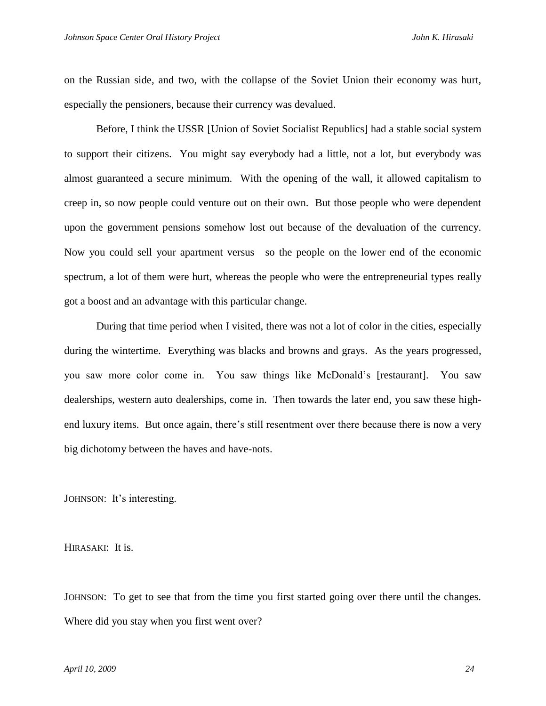on the Russian side, and two, with the collapse of the Soviet Union their economy was hurt, especially the pensioners, because their currency was devalued.

Before, I think the USSR [Union of Soviet Socialist Republics] had a stable social system to support their citizens. You might say everybody had a little, not a lot, but everybody was almost guaranteed a secure minimum. With the opening of the wall, it allowed capitalism to creep in, so now people could venture out on their own. But those people who were dependent upon the government pensions somehow lost out because of the devaluation of the currency. Now you could sell your apartment versus—so the people on the lower end of the economic spectrum, a lot of them were hurt, whereas the people who were the entrepreneurial types really got a boost and an advantage with this particular change.

During that time period when I visited, there was not a lot of color in the cities, especially during the wintertime. Everything was blacks and browns and grays. As the years progressed, you saw more color come in. You saw things like McDonald's [restaurant]. You saw dealerships, western auto dealerships, come in. Then towards the later end, you saw these highend luxury items. But once again, there's still resentment over there because there is now a very big dichotomy between the haves and have-nots.

JOHNSON: It's interesting.

HIRASAKI: It is.

JOHNSON: To get to see that from the time you first started going over there until the changes. Where did you stay when you first went over?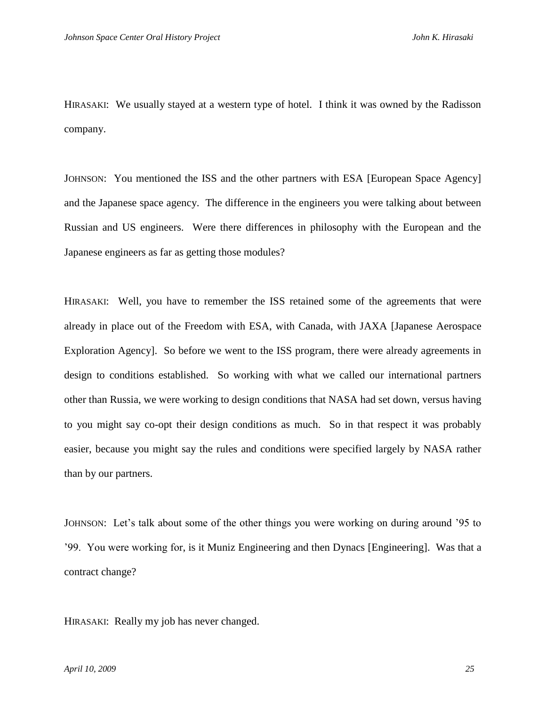HIRASAKI: We usually stayed at a western type of hotel. I think it was owned by the Radisson company.

JOHNSON: You mentioned the ISS and the other partners with ESA [European Space Agency] and the Japanese space agency. The difference in the engineers you were talking about between Russian and US engineers. Were there differences in philosophy with the European and the Japanese engineers as far as getting those modules?

HIRASAKI: Well, you have to remember the ISS retained some of the agreements that were already in place out of the Freedom with ESA, with Canada, with JAXA [Japanese Aerospace Exploration Agency]. So before we went to the ISS program, there were already agreements in design to conditions established. So working with what we called our international partners other than Russia, we were working to design conditions that NASA had set down, versus having to you might say co-opt their design conditions as much. So in that respect it was probably easier, because you might say the rules and conditions were specified largely by NASA rather than by our partners.

JOHNSON: Let's talk about some of the other things you were working on during around '95 to '99. You were working for, is it Muniz Engineering and then Dynacs [Engineering]. Was that a contract change?

HIRASAKI: Really my job has never changed.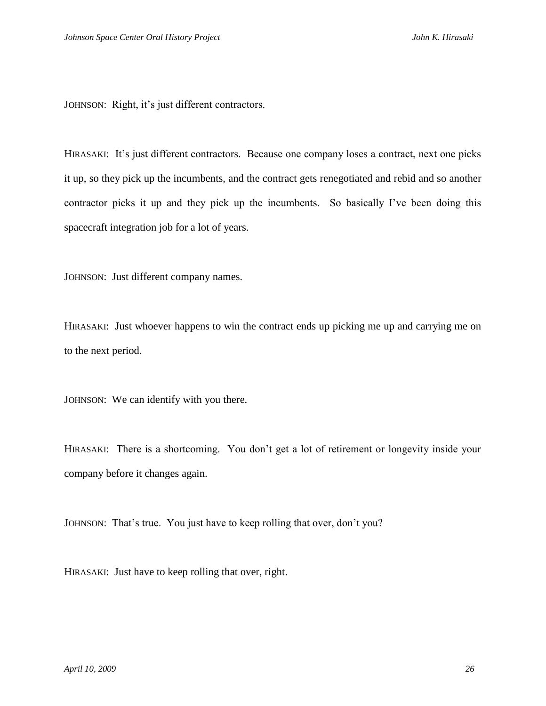JOHNSON: Right, it's just different contractors.

HIRASAKI: It's just different contractors. Because one company loses a contract, next one picks it up, so they pick up the incumbents, and the contract gets renegotiated and rebid and so another contractor picks it up and they pick up the incumbents. So basically I've been doing this spacecraft integration job for a lot of years.

JOHNSON: Just different company names.

HIRASAKI: Just whoever happens to win the contract ends up picking me up and carrying me on to the next period.

JOHNSON: We can identify with you there.

HIRASAKI: There is a shortcoming. You don't get a lot of retirement or longevity inside your company before it changes again.

JOHNSON: That's true. You just have to keep rolling that over, don't you?

HIRASAKI: Just have to keep rolling that over, right.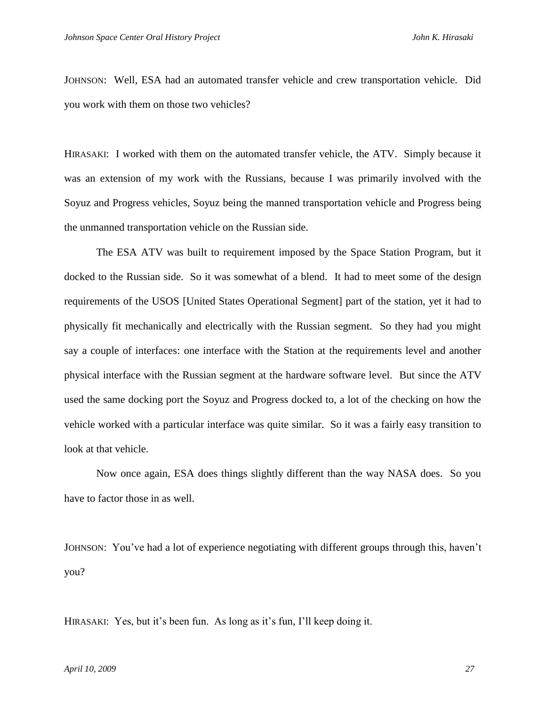JOHNSON: Well, ESA had an automated transfer vehicle and crew transportation vehicle. Did you work with them on those two vehicles?

HIRASAKI: I worked with them on the automated transfer vehicle, the ATV. Simply because it was an extension of my work with the Russians, because I was primarily involved with the Soyuz and Progress vehicles, Soyuz being the manned transportation vehicle and Progress being the unmanned transportation vehicle on the Russian side.

The ESA ATV was built to requirement imposed by the Space Station Program, but it docked to the Russian side. So it was somewhat of a blend. It had to meet some of the design requirements of the USOS [United States Operational Segment] part of the station, yet it had to physically fit mechanically and electrically with the Russian segment. So they had you might say a couple of interfaces: one interface with the Station at the requirements level and another physical interface with the Russian segment at the hardware software level. But since the ATV used the same docking port the Soyuz and Progress docked to, a lot of the checking on how the vehicle worked with a particular interface was quite similar. So it was a fairly easy transition to look at that vehicle.

Now once again, ESA does things slightly different than the way NASA does. So you have to factor those in as well.

JOHNSON: You've had a lot of experience negotiating with different groups through this, haven't you?

HIRASAKI: Yes, but it's been fun. As long as it's fun, I'll keep doing it.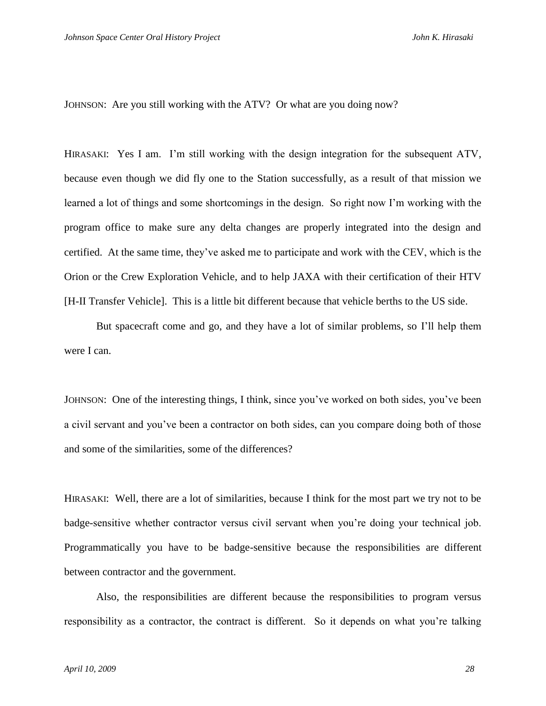JOHNSON: Are you still working with the ATV? Or what are you doing now?

HIRASAKI: Yes I am. I'm still working with the design integration for the subsequent ATV, because even though we did fly one to the Station successfully, as a result of that mission we learned a lot of things and some shortcomings in the design. So right now I'm working with the program office to make sure any delta changes are properly integrated into the design and certified. At the same time, they've asked me to participate and work with the CEV, which is the Orion or the Crew Exploration Vehicle, and to help JAXA with their certification of their HTV [H-II Transfer Vehicle]. This is a little bit different because that vehicle berths to the US side.

But spacecraft come and go, and they have a lot of similar problems, so I'll help them were I can.

JOHNSON: One of the interesting things, I think, since you've worked on both sides, you've been a civil servant and you've been a contractor on both sides, can you compare doing both of those and some of the similarities, some of the differences?

HIRASAKI: Well, there are a lot of similarities, because I think for the most part we try not to be badge-sensitive whether contractor versus civil servant when you're doing your technical job. Programmatically you have to be badge-sensitive because the responsibilities are different between contractor and the government.

Also, the responsibilities are different because the responsibilities to program versus responsibility as a contractor, the contract is different. So it depends on what you're talking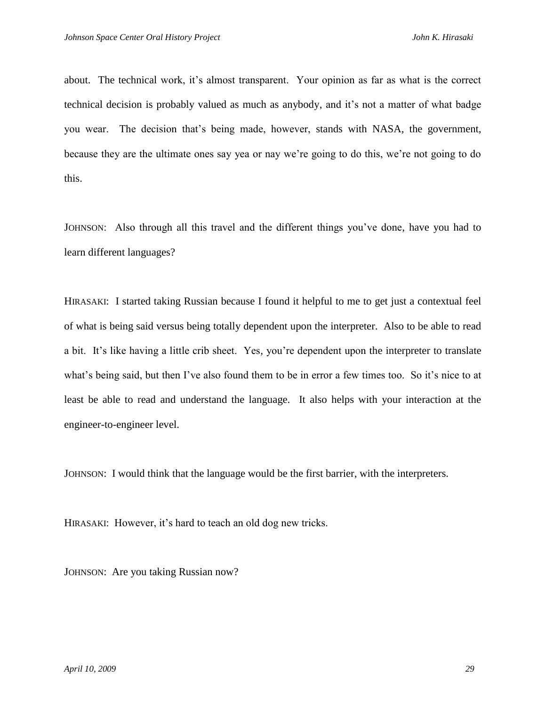about. The technical work, it's almost transparent. Your opinion as far as what is the correct technical decision is probably valued as much as anybody, and it's not a matter of what badge you wear. The decision that's being made, however, stands with NASA, the government, because they are the ultimate ones say yea or nay we're going to do this, we're not going to do this.

JOHNSON: Also through all this travel and the different things you've done, have you had to learn different languages?

HIRASAKI: I started taking Russian because I found it helpful to me to get just a contextual feel of what is being said versus being totally dependent upon the interpreter. Also to be able to read a bit. It's like having a little crib sheet. Yes, you're dependent upon the interpreter to translate what's being said, but then I've also found them to be in error a few times too. So it's nice to at least be able to read and understand the language. It also helps with your interaction at the engineer-to-engineer level.

JOHNSON: I would think that the language would be the first barrier, with the interpreters.

HIRASAKI: However, it's hard to teach an old dog new tricks.

JOHNSON: Are you taking Russian now?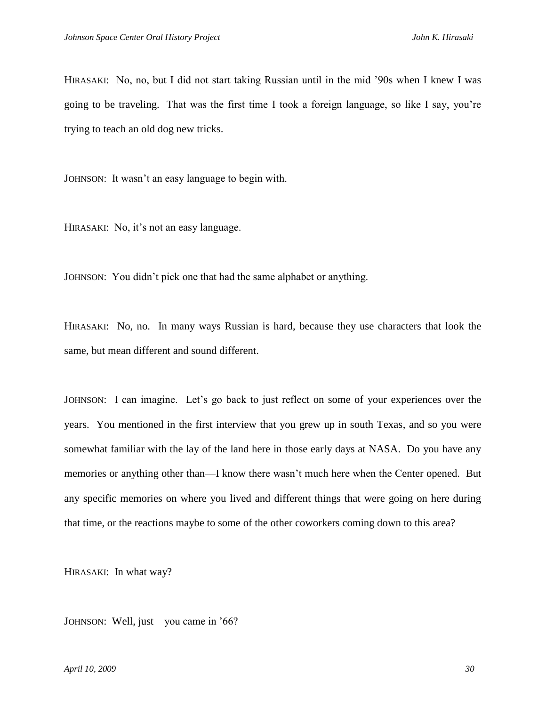HIRASAKI: No, no, but I did not start taking Russian until in the mid '90s when I knew I was going to be traveling. That was the first time I took a foreign language, so like I say, you're trying to teach an old dog new tricks.

JOHNSON: It wasn't an easy language to begin with.

HIRASAKI: No, it's not an easy language.

JOHNSON: You didn't pick one that had the same alphabet or anything.

HIRASAKI: No, no. In many ways Russian is hard, because they use characters that look the same, but mean different and sound different.

JOHNSON: I can imagine. Let's go back to just reflect on some of your experiences over the years. You mentioned in the first interview that you grew up in south Texas, and so you were somewhat familiar with the lay of the land here in those early days at NASA. Do you have any memories or anything other than—I know there wasn't much here when the Center opened. But any specific memories on where you lived and different things that were going on here during that time, or the reactions maybe to some of the other coworkers coming down to this area?

HIRASAKI: In what way?

JOHNSON: Well, just—you came in '66?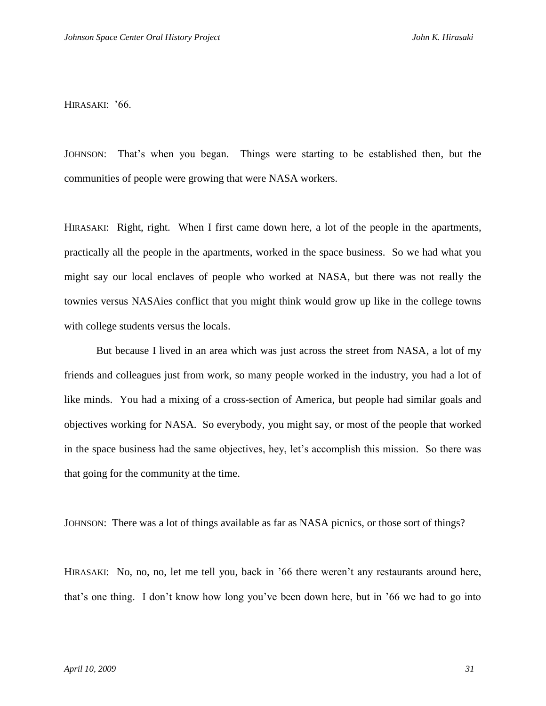HIRASAKI: '66.

JOHNSON: That's when you began. Things were starting to be established then, but the communities of people were growing that were NASA workers.

HIRASAKI: Right, right. When I first came down here, a lot of the people in the apartments, practically all the people in the apartments, worked in the space business. So we had what you might say our local enclaves of people who worked at NASA, but there was not really the townies versus NASAies conflict that you might think would grow up like in the college towns with college students versus the locals.

But because I lived in an area which was just across the street from NASA, a lot of my friends and colleagues just from work, so many people worked in the industry, you had a lot of like minds. You had a mixing of a cross-section of America, but people had similar goals and objectives working for NASA. So everybody, you might say, or most of the people that worked in the space business had the same objectives, hey, let's accomplish this mission. So there was that going for the community at the time.

JOHNSON: There was a lot of things available as far as NASA picnics, or those sort of things?

HIRASAKI: No, no, no, let me tell you, back in '66 there weren't any restaurants around here, that's one thing. I don't know how long you've been down here, but in '66 we had to go into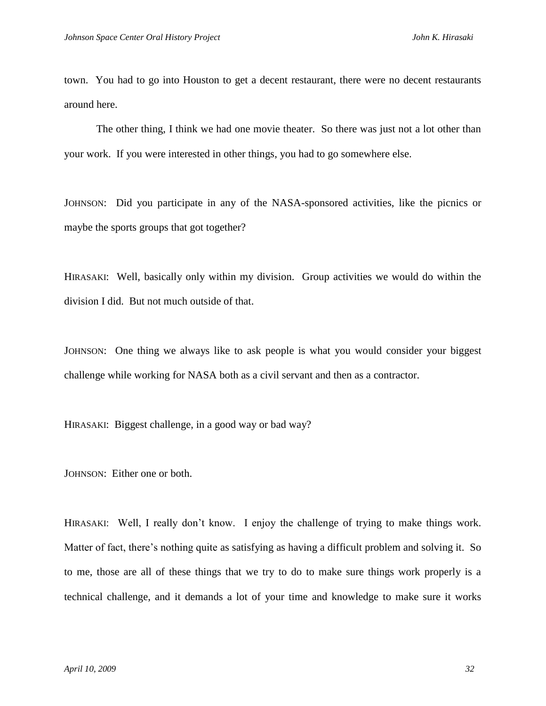town. You had to go into Houston to get a decent restaurant, there were no decent restaurants around here.

The other thing, I think we had one movie theater. So there was just not a lot other than your work. If you were interested in other things, you had to go somewhere else.

JOHNSON: Did you participate in any of the NASA-sponsored activities, like the picnics or maybe the sports groups that got together?

HIRASAKI: Well, basically only within my division. Group activities we would do within the division I did. But not much outside of that.

JOHNSON: One thing we always like to ask people is what you would consider your biggest challenge while working for NASA both as a civil servant and then as a contractor.

HIRASAKI: Biggest challenge, in a good way or bad way?

JOHNSON: Either one or both.

HIRASAKI: Well, I really don't know. I enjoy the challenge of trying to make things work. Matter of fact, there's nothing quite as satisfying as having a difficult problem and solving it. So to me, those are all of these things that we try to do to make sure things work properly is a technical challenge, and it demands a lot of your time and knowledge to make sure it works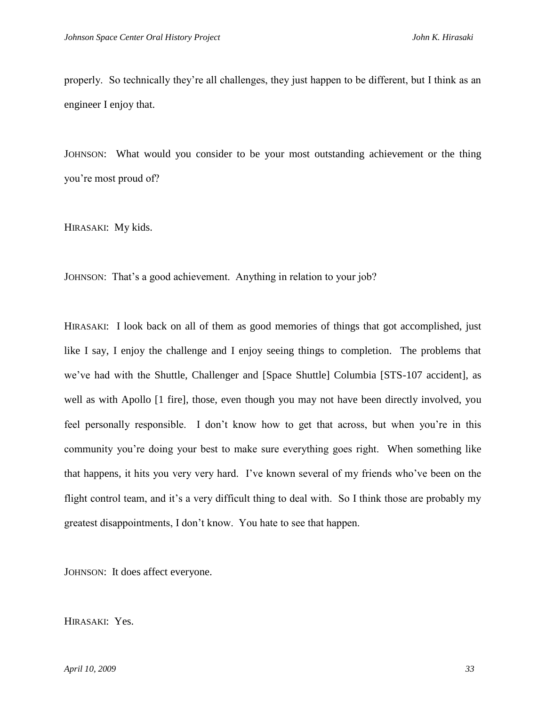properly. So technically they're all challenges, they just happen to be different, but I think as an engineer I enjoy that.

JOHNSON: What would you consider to be your most outstanding achievement or the thing you're most proud of?

HIRASAKI: My kids.

JOHNSON: That's a good achievement. Anything in relation to your job?

HIRASAKI: I look back on all of them as good memories of things that got accomplished, just like I say, I enjoy the challenge and I enjoy seeing things to completion. The problems that we've had with the Shuttle, Challenger and [Space Shuttle] Columbia [STS-107 accident], as well as with Apollo [1 fire], those, even though you may not have been directly involved, you feel personally responsible. I don't know how to get that across, but when you're in this community you're doing your best to make sure everything goes right. When something like that happens, it hits you very very hard. I've known several of my friends who've been on the flight control team, and it's a very difficult thing to deal with. So I think those are probably my greatest disappointments, I don't know. You hate to see that happen.

JOHNSON: It does affect everyone.

HIRASAKI: Yes.